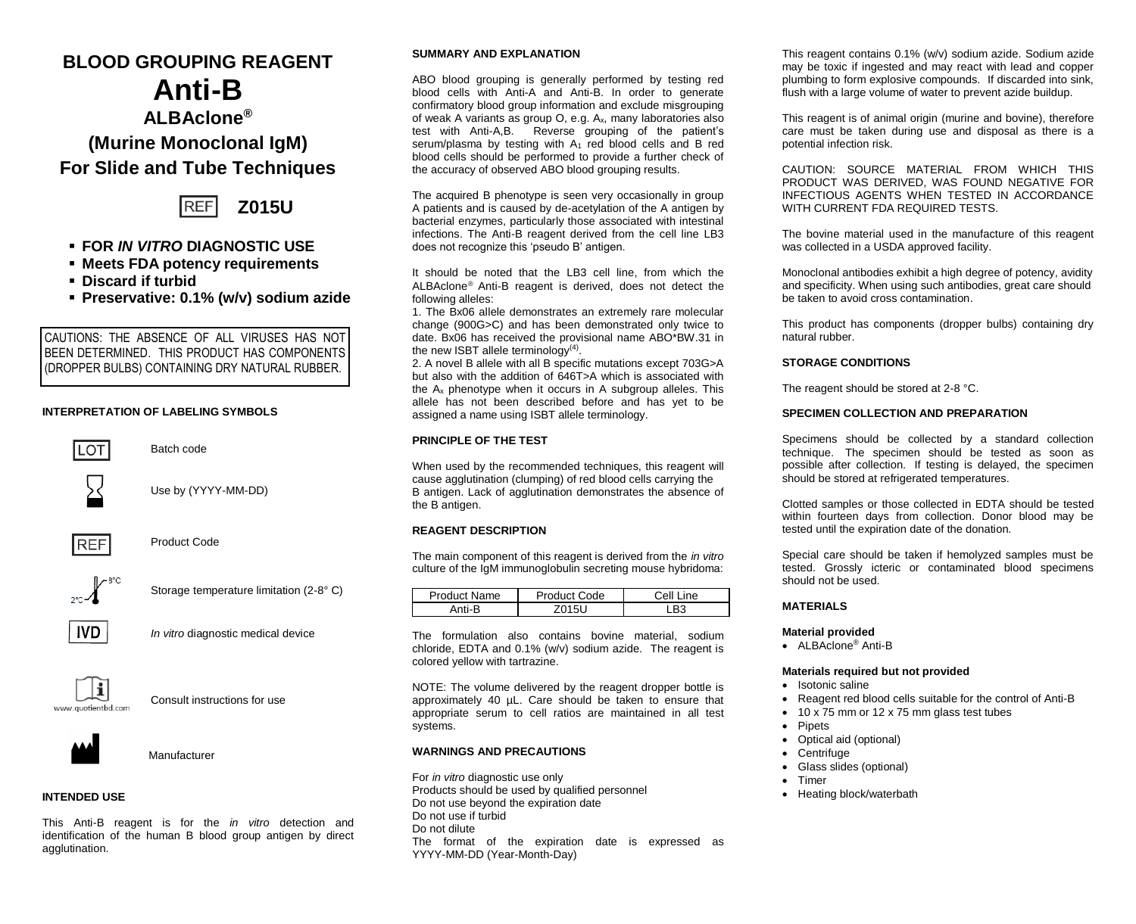# **BLOOD GROUPING REAGENT**

# **Anti-B ALBAclone® (Murine Monoclonal IgM) For Slide and Tube Techniques**



- **FOR** *IN VITRO* **DIAGNOSTIC USE**
- **Meets FDA potency requirements**
- **Discard if turbid**
- **Preservative: 0.1% (w/v) sodium azide**

CAUTIONS: THE ABSENCE OF ALL VIRUSES HAS NOT BEEN DETERMINED. THIS PRODUCT HAS COMPONENTS (DROPPER BULBS) CONTAINING DRY NATURAL RUBBER.

## **INTERPRETATION OF LABELING SYMBOLS**



### **INTENDED USE**

This Anti-B reagent is for the *in vitro* detection and identification of the human B blood group antigen by direct agglutination.

#### **SUMMARY AND EXPLANATION**

ABO blood grouping is generally performed by testing red blood cells with Anti-A and Anti-B. In order to generate confirmatory blood group information and exclude misgrouping of weak A variants as group O, e.g. Ax, many laboratories also test with Anti-A,B. Reverse grouping of the patient's serum/plasma by testing with  $A_1$  red blood cells and B red blood cells should be performed to provide a further check of the accuracy of observed ABO blood grouping results.

The acquired B phenotype is seen very occasionally in group A patients and is caused by de-acetylation of the A antigen by bacterial enzymes, particularly those associated with intestinal infections. The Anti-B reagent derived from the cell line LB3 does not recognize this 'pseudo B' antigen.

It should be noted that the LB3 cell line, from which the ALBAclone<sup>®</sup> Anti-B reagent is derived, does not detect the following alleles:

1. The Bx06 allele demonstrates an extremely rare molecular change (900G>C) and has been demonstrated only twice to date. Bx06 has received the provisional name ABO\*BW.31 in the new ISBT allele terminology<sup>(4)</sup>.

2. A novel B allele with all B specific mutations except 703G>A but also with the addition of 646T>A which is associated with the A<sup>x</sup> phenotype when it occurs in A subgroup alleles. This allele has not been described before and has yet to be assigned a name using ISBT allele terminology.

#### **PRINCIPLE OF THE TEST**

When used by the recommended techniques, this reagent will cause agglutination (clumping) of red blood cells carrying the B antigen. Lack of agglutination demonstrates the absence of the B antigen.

#### **REAGENT DESCRIPTION**

The main component of this reagent is derived from the *in vitro* culture of the IgM immunoglobulin secreting mouse hybridoma:

| Product Name | Product Code | Cell Line      |
|--------------|--------------|----------------|
| Anti-R       |              | B <sub>3</sub> |

The formulation also contains bovine material, sodium chloride, EDTA and 0.1% (w/v) sodium azide. The reagent is colored yellow with tartrazine.

NOTE: The volume delivered by the reagent dropper bottle is approximately 40 µL. Care should be taken to ensure that appropriate serum to cell ratios are maintained in all test systems.

#### **WARNINGS AND PRECAUTIONS**

For *in vitro* diagnostic use only Products should be used by qualified personnel Do not use beyond the expiration date Do not use if turbid Do not dilute The format of the expiration date is expressed as YYYY-MM-DD (Year-Month-Day)

This reagent contains 0.1% (w/v) sodium azide. Sodium azide may be toxic if ingested and may react with lead and copper plumbing to form explosive compounds. If discarded into sink, flush with a large volume of water to prevent azide buildup.

This reagent is of animal origin (murine and bovine), therefore care must be taken during use and disposal as there is a potential infection risk.

CAUTION: SOURCE MATERIAL FROM WHICH THIS PRODUCT WAS DERIVED, WAS FOUND NEGATIVE FOR INFECTIOUS AGENTS WHEN TESTED IN ACCORDANCE WITH CURRENT FDA REQUIRED TESTS.

The bovine material used in the manufacture of this reagent was collected in a USDA approved facility.

Monoclonal antibodies exhibit a high degree of potency, avidity and specificity. When using such antibodies, great care should be taken to avoid cross contamination.

This product has components (dropper bulbs) containing dry natural rubber.

#### **STORAGE CONDITIONS**

The reagent should be stored at 2-8 °C.

#### **SPECIMEN COLLECTION AND PREPARATION**

Specimens should be collected by a standard collection technique. The specimen should be tested as soon as possible after collection. If testing is delayed, the specimen should be stored at refrigerated temperatures.

Clotted samples or those collected in EDTA should be tested within fourteen days from collection. Donor blood may be tested until the expiration date of the donation.

Special care should be taken if hemolyzed samples must be tested. Grossly icteric or contaminated blood specimens should not be used.

#### **MATERIALS**

#### **Material provided**

• ALBAclone® Anti-B

#### **Materials required but not provided**

- Isotonic saline
- Reagent red blood cells suitable for the control of Anti-B
- 10 x 75 mm or 12 x 75 mm glass test tubes
- **Pipets**
- Optical aid (optional)
- Centrifuge
- Glass slides (optional)
- Timer
- Heating block/waterbath